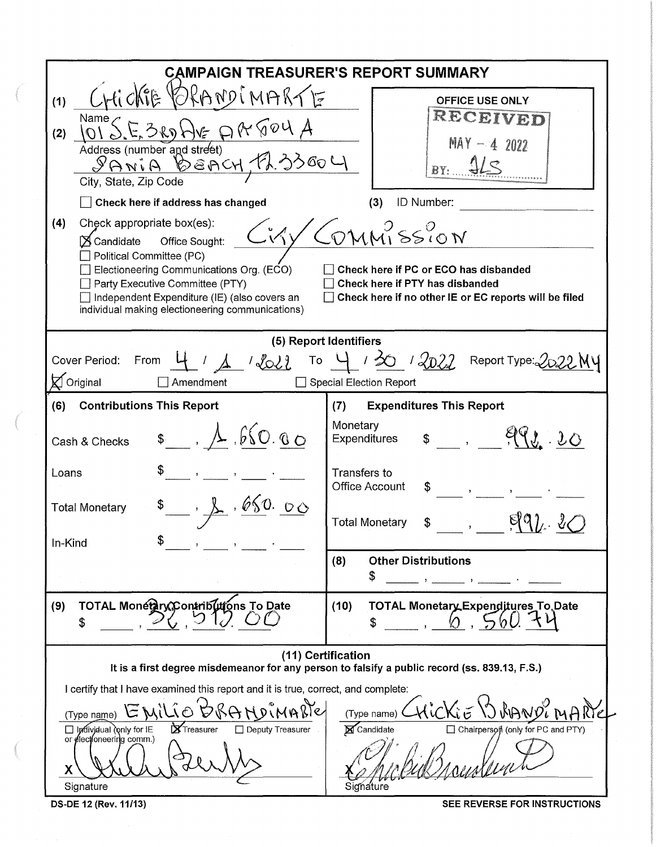| <b>CAMPAIGN TREASURER'S REPORT SUMMARY</b>                                                                                                                                                                                                                                                                                                                                                                                                                                                                                                  |                                                                                                                     |  |  |  |  |  |  |
|---------------------------------------------------------------------------------------------------------------------------------------------------------------------------------------------------------------------------------------------------------------------------------------------------------------------------------------------------------------------------------------------------------------------------------------------------------------------------------------------------------------------------------------------|---------------------------------------------------------------------------------------------------------------------|--|--|--|--|--|--|
| $Crli$ $\triangle$<br>ORANDIMARTE<br>(1)                                                                                                                                                                                                                                                                                                                                                                                                                                                                                                    | <b>OFFICE USE ONLY</b><br>RECEIVED                                                                                  |  |  |  |  |  |  |
| $\lim_{h \to 0} \frac{1}{h} \sum_{k=1}^{h} \frac{1}{h} \frac{1}{h} \frac{1}{h}$<br>$\neg \mathsf{A}\nvee \neg \mathsf{A}$<br>(2)<br>Address (number and street)<br>SANIA BEACH, FL33004<br>City, State, Zip Code                                                                                                                                                                                                                                                                                                                            | $MAX - 4 2022$<br>4L5<br>BY:                                                                                        |  |  |  |  |  |  |
| Check here if address has changed<br>ID Number:<br>(3)<br>(4)<br>Check appropriate box(es):<br>'COMMISSION<br>$\hat{K}$<br>Office Sought:<br>$\boxtimes$ Candidate<br>Political Committee (PC)<br>$\Box$ Electioneering Communications Org. (ECO)<br>Check here if PC or ECO has disbanded<br>Party Executive Committee (PTY)<br>Check here if PTY has disbanded<br>$\Box$ Independent Expenditure (IE) (also covers an<br>$\Box$ Check here if no other IE or EC reports will be filed<br>individual making electioneering communications) |                                                                                                                     |  |  |  |  |  |  |
| (5) Report Identifiers<br>From $4 / 1$ / $2022$ To $4 / 202$ / $2022$ Report Type: 2022 My<br>Cover Period:<br>$\boxtimes$ Original<br>Amendment<br>$\Box$ Special Election Report                                                                                                                                                                                                                                                                                                                                                          |                                                                                                                     |  |  |  |  |  |  |
| <b>Contributions This Report</b><br>(6)<br>$\frac{1}{2}$ , $\frac{1}{2}$ , $660.80$<br>Cash & Checks                                                                                                                                                                                                                                                                                                                                                                                                                                        | <b>Expenditures This Report</b><br>(7)<br>Monetary<br>Expenditures                                                  |  |  |  |  |  |  |
| Loans<br>660.00<br><b>Total Monetary</b>                                                                                                                                                                                                                                                                                                                                                                                                                                                                                                    | Transfers to<br><b>Office Account</b><br>\$<br>$\mathbf{y} = \mathbf{y}$<br><b>Total Monetary</b><br>$\mathbb{S}^-$ |  |  |  |  |  |  |
| ъ<br>In-Kind                                                                                                                                                                                                                                                                                                                                                                                                                                                                                                                                | <b>Other Distributions</b><br>(8)<br>\$                                                                             |  |  |  |  |  |  |
| TOTAL Monetary Contributions To Date<br>(9)<br>\$                                                                                                                                                                                                                                                                                                                                                                                                                                                                                           | TOTAL Monetary Expenditures To Date<br>(10)<br>S                                                                    |  |  |  |  |  |  |
| (11) Certification<br>It is a first degree misdemeanor for any person to falsify a public record (ss. 839.13, F.S.)                                                                                                                                                                                                                                                                                                                                                                                                                         |                                                                                                                     |  |  |  |  |  |  |
| I certify that I have examined this report and it is true, correct, and complete:<br>(Type name)<br>(Type name)<br>XTreasurer<br>Candidate<br>□ Chairperson (only for PC and PTY)<br>$\Box$ Individual (only for IE<br>□ Deputy Treasurer<br>or electioneering comm.)<br>χ<br>Signature<br>Signature                                                                                                                                                                                                                                        |                                                                                                                     |  |  |  |  |  |  |

OS-DE 12 (Rev. 11/13) SEE REVERSE FOR INSTRUCTIONS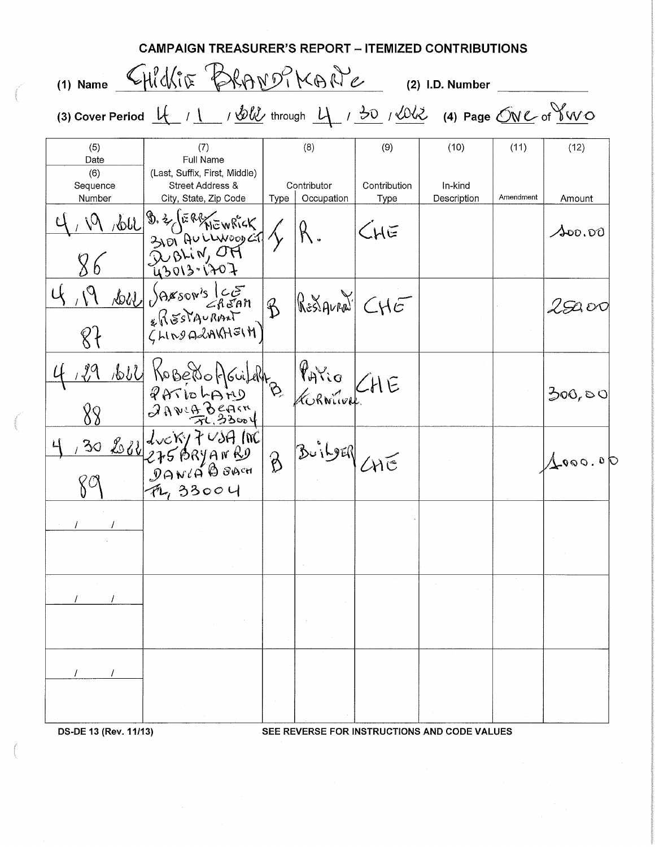|                           | CAMPAIGN TREASURER'S REPORT – ITEMIZED CONTRIBUTIONS                                                                                                                                                                                                                                                                                                       |         |                                                            |                      |                                              |           |                 |
|---------------------------|------------------------------------------------------------------------------------------------------------------------------------------------------------------------------------------------------------------------------------------------------------------------------------------------------------------------------------------------------------|---------|------------------------------------------------------------|----------------------|----------------------------------------------|-----------|-----------------|
|                           | (1) Name CHICKIE BRANDIKANE                                                                                                                                                                                                                                                                                                                                |         |                                                            |                      | (2) I.D. Number                              |           |                 |
|                           | (3) Cover Period $\underline{u}$ / $\underline{v}$ / $\underline{v}$ / $\underline{v}$ through $\underline{u}$ / $\underline{v}$ / $\underline{v}$ / $\underline{v}$ / $\underline{v}$ / $\underline{v}$ / $\underline{v}$ / $\underline{v}$ / $\underline{v}$ / $\underline{v}$ / $\underline{v}$ / $\underline{v}$ / $\underline{v}$ / $\underline{v}$ / |         |                                                            |                      |                                              |           |                 |
| (5)<br>Date               | (7)<br>Full Name                                                                                                                                                                                                                                                                                                                                           |         | (8)                                                        | (9)                  | (10)                                         | (11)      | (12)            |
| (6)<br>Sequence<br>Number | (Last, Suffix, First, Middle)<br><b>Street Address &amp;</b><br>City, State, Zip Code                                                                                                                                                                                                                                                                      |         | Contributor<br>Type   Occupation                           | Contribution<br>Type | In-kind<br>Description                       | Amendment | Amount          |
|                           |                                                                                                                                                                                                                                                                                                                                                            |         |                                                            | $\zeta_{H}$ E        |                                              |           | $\lambda$ 00.00 |
| 8 <sup>1</sup>            | NOW SAXSON'S CE<br>ERESTAURANT B                                                                                                                                                                                                                                                                                                                           |         | $\left \mathbb{R}\right $ $\leq$ $\left \mathbb{R}\right $ |                      |                                              |           | 2 SO OC         |
|                           | 129 1600 KoBeroAGuilah PAVio CHE<br>JAVBB<br>FluxY                                                                                                                                                                                                                                                                                                         |         |                                                            |                      |                                              |           | 300,80          |
|                           | $\frac{130888622750899989}{27508999889}$<br>FL, 33004                                                                                                                                                                                                                                                                                                      | $\beta$ | BUILDER CHE                                                |                      |                                              |           | 4000.06         |
|                           |                                                                                                                                                                                                                                                                                                                                                            |         |                                                            |                      |                                              |           |                 |
|                           |                                                                                                                                                                                                                                                                                                                                                            |         |                                                            |                      |                                              |           |                 |
|                           |                                                                                                                                                                                                                                                                                                                                                            |         |                                                            |                      |                                              |           |                 |
| DS-DE 13 (Rev. 11/13)     |                                                                                                                                                                                                                                                                                                                                                            |         |                                                            |                      | SEE REVERSE FOR INSTRUCTIONS AND CODE VALUES |           |                 |